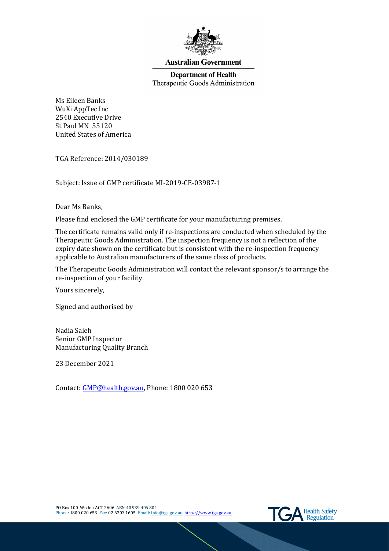

### **Australian Government**

# **Department of Health** Therapeutic Goods Administration

Ms Eileen Banks WuXi AppTec Inc 2540 Executive Drive St Paul MN 55120 United States of America

TGA Reference: 2014/030189

Subject: Issue of GMP certificate MI-2019-CE-03987-1

Dear Ms Banks,

Please find enclosed the GMP certificate for your manufacturing premises.

The certificate remains valid only if re-inspections are conducted when scheduled by the Therapeutic Goods Administration. The inspection frequency is not a reflection of the expiry date shown on the certificate but is consistent with the re-inspection frequency applicable to Australian manufacturers of the same class of products.

The Therapeutic Goods Administration will contact the relevant sponsor/s to arrange the re-inspection of your facility.

Yours sincerely,

Signed and authorised by

Nadia Saleh Senior GMP Inspector Manufacturing Quality Branch

23 December 2021

Contact: [GMP@health.gov.au,](mailto:GMP@health.gov.au) Phone: 1800 020 653

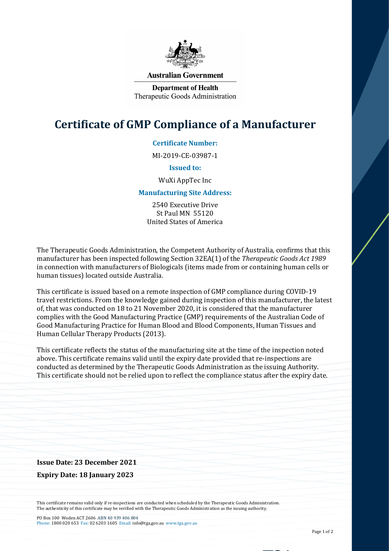

#### **Australian Government**

**Department of Health** Therapeutic Goods Administration

# **Certificate of GMP Compliance of a Manufacturer**

## **Certificate Number:**

MI-2019-CE-03987-1

#### **Issued to:**

#### WuXi AppTec Inc

#### **Manufacturing Site Address:**

2540 Executive Drive St Paul MN 55120 United States of America

The Therapeutic Goods Administration, the Competent Authority of Australia, confirms that this manufacturer has been inspected following Section 32EA(1) of the *Therapeutic Goods Act 1989* in connection with manufacturers of Biologicals (items made from or containing human cells or human tissues) located outside Australia.

This certificate is issued based on a remote inspection of GMP compliance during COVID-19 travel restrictions. From the knowledge gained during inspection of this manufacturer, the latest of, that was conducted on 18 to 21 November 2020, it is considered that the manufacturer complies with the Good Manufacturing Practice (GMP) requirements of the Australian Code of Good Manufacturing Practice for Human Blood and Blood Components, Human Tissues and Human Cellular Therapy Products (2013).

This certificate reflects the status of the manufacturing site at the time of the inspection noted above. This certificate remains valid until the expiry date provided that re-inspections are conducted as determined by the Therapeutic Goods Administration as the issuing Authority. This certificate should not be relied upon to reflect the compliance status after the expiry date.

#### **Issue Date: 23 December 2021**

**Expiry Date: 18 January 2023**

This certificate remains valid only if re-inspections are conducted when scheduled by the Therapeutic Goods Administration. The authenticity of this certificate may be verified with the Therapeutic Goods Administration as the issuing authority.

PO Box 100 Woden ACT 2606 ABN 40 939 406 804 Phone: 1800 020 653 Fax: 02 6203 1605 Email: info@tga.gov.au www.tga.gov.au